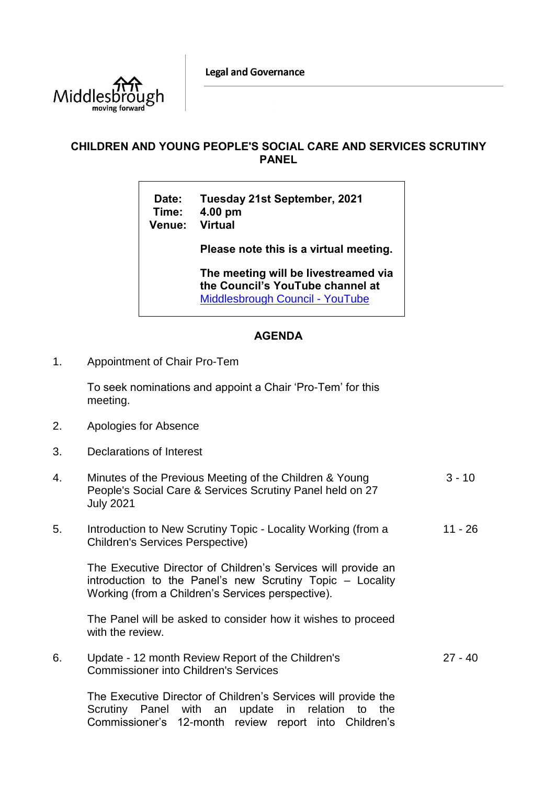**Legal and Governance** 



## **CHILDREN AND YOUNG PEOPLE'S SOCIAL CARE AND SERVICES SCRUTINY PANEL**

**Date: Tuesday 21st September, 2021 Time: 4.00 pm Venue: Virtual**

**Please note this is a virtual meeting.** 

**The meeting will be livestreamed via the Council's YouTube channel at**  [Middlesbrough Council -](https://www.youtube.com/user/middlesbroughcouncil) YouTube

## **AGENDA**

1. Appointment of Chair Pro-Tem

To seek nominations and appoint a Chair 'Pro-Tem' for this meeting.

- 2. Apologies for Absence
- 3. Declarations of Interest
- 4. Minutes of the Previous Meeting of the Children & Young People's Social Care & Services Scrutiny Panel held on 27 July 2021  $3 - 10$
- 5. Introduction to New Scrutiny Topic Locality Working (from a Children's Services Perspective) 11 - 26

The Executive Director of Children's Services will provide an introduction to the Panel's new Scrutiny Topic – Locality Working (from a Children's Services perspective).

The Panel will be asked to consider how it wishes to proceed with the review.

6. Update - 12 month Review Report of the Children's Commissioner into Children's Services 27 - 40

The Executive Director of Children's Services will provide the Scrutiny Panel with an update in relation to the Commissioner's 12-month review report into Children's